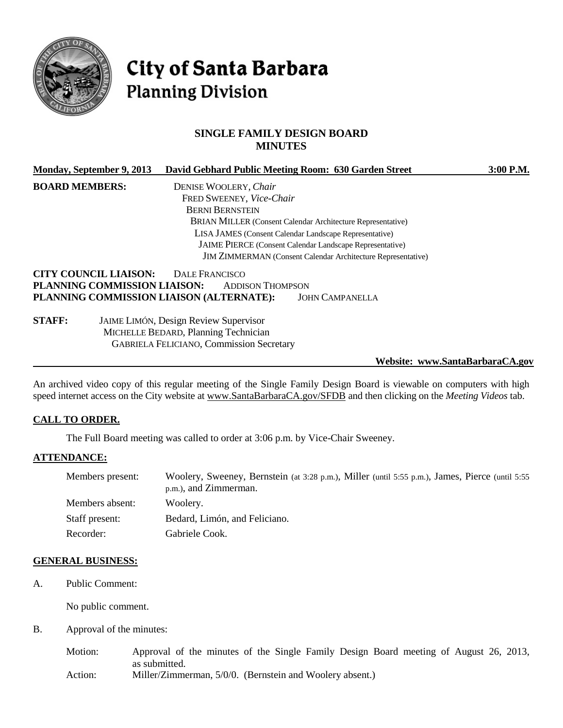

# **City of Santa Barbara Planning Division**

#### **SINGLE FAMILY DESIGN BOARD MINUTES**

| Monday, September 9, 2013                                                                                                    | David Gebhard Public Meeting Room: 630 Garden Street |                                                                     | $3:00$ P.M. |
|------------------------------------------------------------------------------------------------------------------------------|------------------------------------------------------|---------------------------------------------------------------------|-------------|
| <b>BOARD MEMBERS:</b>                                                                                                        | DENISE WOOLERY, Chair                                |                                                                     |             |
|                                                                                                                              | FRED SWEENEY, Vice-Chair                             |                                                                     |             |
|                                                                                                                              | <b>BERNI BERNSTEIN</b>                               |                                                                     |             |
| <b>BRIAN MILLER</b> (Consent Calendar Architecture Representative)<br>LISA JAMES (Consent Calendar Landscape Representative) |                                                      |                                                                     |             |
|                                                                                                                              |                                                      |                                                                     |             |
|                                                                                                                              |                                                      | <b>JAIME PIERCE</b> (Consent Calendar Landscape Representative)     |             |
|                                                                                                                              |                                                      | <b>JIM ZIMMERMAN</b> (Consent Calendar Architecture Representative) |             |
| <b>CITY COUNCIL LIAISON:</b><br>PLANNING COMMISSION LIAISON:<br>PLANNING COMMISSION LIAISON (ALTERNATE):                     | DALE FRANCISCO<br><b>ADDISON THOMPSON</b>            | <b>JOHN CAMPANELLA</b>                                              |             |
|                                                                                                                              |                                                      |                                                                     |             |

**STAFF:** JAIME LIMÓN, Design Review Supervisor MICHELLE BEDARD, Planning Technician GABRIELA FELICIANO, Commission Secretary

**Website: www.SantaBarbaraCA.gov**

An archived video copy of this regular meeting of the Single Family Design Board is viewable on computers with high speed internet access on the City website at [www.SantaBarbaraCA.gov/SFDB](http://www.santabarbaraca.gov/SFDB) and then clicking on the *Meeting Videos* tab.

#### **CALL TO ORDER.**

The Full Board meeting was called to order at 3:06 p.m. by Vice-Chair Sweeney.

#### **ATTENDANCE:**

| Members present: | Woolery, Sweeney, Bernstein (at 3:28 p.m.), Miller (until 5:55 p.m.), James, Pierce (until 5:55<br>p.m.), and Zimmerman. |
|------------------|--------------------------------------------------------------------------------------------------------------------------|
| Members absent:  | Woolery.                                                                                                                 |
| Staff present:   | Bedard, Limón, and Feliciano.                                                                                            |
| Recorder:        | Gabriele Cook.                                                                                                           |

#### **GENERAL BUSINESS:**

A. Public Comment:

No public comment.

B. Approval of the minutes:

Motion: Approval of the minutes of the Single Family Design Board meeting of August 26, 2013, as submitted.

Action: Miller/Zimmerman, 5/0/0. (Bernstein and Woolery absent.)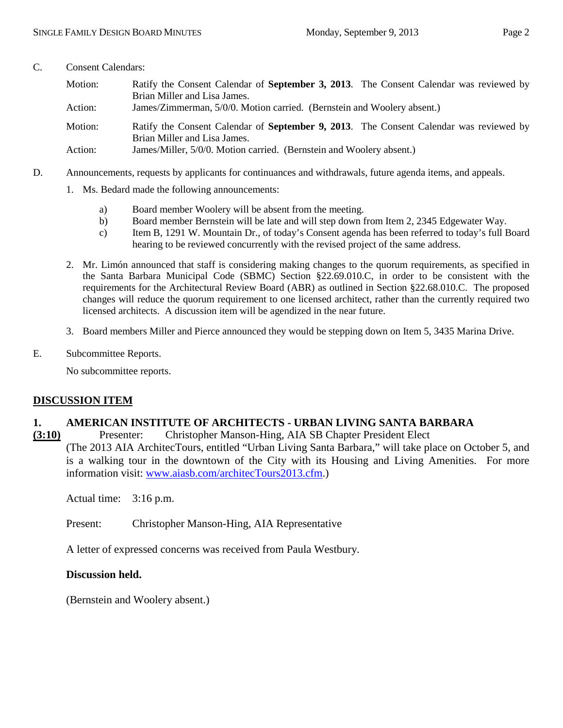### C. Consent Calendars:

| Motion: | Ratify the Consent Calendar of <b>September 3, 2013</b> . The Consent Calendar was reviewed by<br>Brian Miller and Lisa James. |
|---------|--------------------------------------------------------------------------------------------------------------------------------|
| Action: | James/Zimmerman, 5/0/0. Motion carried. (Bernstein and Woolery absent.)                                                        |
| Motion: | Ratify the Consent Calendar of <b>September 9, 2013</b> . The Consent Calendar was reviewed by<br>Brian Miller and Lisa James. |
| Action: | James/Miller, 5/0/0. Motion carried. (Bernstein and Woolery absent.)                                                           |

- D. Announcements, requests by applicants for continuances and withdrawals, future agenda items, and appeals.
	- 1. Ms. Bedard made the following announcements:
		- a) Board member Woolery will be absent from the meeting.
		- b) Board member Bernstein will be late and will step down from Item 2, 2345 Edgewater Way.
		- c) Item B, 1291 W. Mountain Dr., of today's Consent agenda has been referred to today's full Board hearing to be reviewed concurrently with the revised project of the same address.
	- 2. Mr. Limón announced that staff is considering making changes to the quorum requirements, as specified in the Santa Barbara Municipal Code (SBMC) Section §22.69.010.C, in order to be consistent with the requirements for the Architectural Review Board (ABR) as outlined in Section §22.68.010.C. The proposed changes will reduce the quorum requirement to one licensed architect, rather than the currently required two licensed architects. A discussion item will be agendized in the near future.
	- 3. Board members Miller and Pierce announced they would be stepping down on Item 5, 3435 Marina Drive.
- E. Subcommittee Reports.

No subcommittee reports.

# **DISCUSSION ITEM**

# **1. AMERICAN INSTITUTE OF ARCHITECTS - URBAN LIVING SANTA BARBARA**

**(3:10)** Presenter: Christopher Manson-Hing, AIA SB Chapter President Elect (The 2013 AIA ArchitecTours, entitled "Urban Living Santa Barbara," will take place on October 5, and is a walking tour in the downtown of the City with its Housing and Living Amenities. For more information visit: [www.aiasb.com/architecTours2013.cfm.](http://www.aiasb.com/architecTours2013.cfm))

Actual time: 3:16 p.m.

Present: Christopher Manson-Hing, AIA Representative

A letter of expressed concerns was received from Paula Westbury.

#### **Discussion held.**

(Bernstein and Woolery absent.)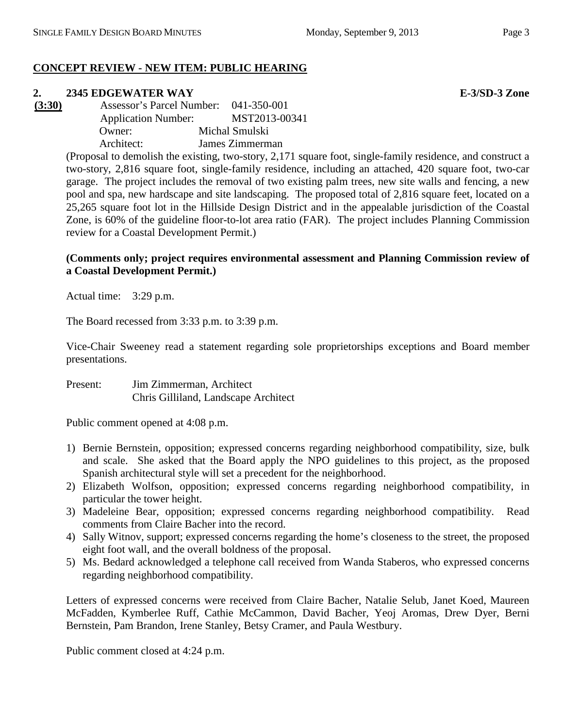# **CONCEPT REVIEW - NEW ITEM: PUBLIC HEARING**

**2. 2345 EDGEWATER WAY E-3/SD-3 Zone**<br> **<u>(3:30)</u> Assessor's Parcel Number: 041-350-001 (3:30)** Assessor's Parcel Number: 041-350-001 Application Number: MST2013-00341 Owner: Michal Smulski Architect: James Zimmerman

(Proposal to demolish the existing, two-story, 2,171 square foot, single-family residence, and construct a two-story, 2,816 square foot, single-family residence, including an attached, 420 square foot, two-car garage. The project includes the removal of two existing palm trees, new site walls and fencing, a new pool and spa, new hardscape and site landscaping. The proposed total of 2,816 square feet, located on a 25,265 square foot lot in the Hillside Design District and in the appealable jurisdiction of the Coastal Zone, is 60% of the guideline floor-to-lot area ratio (FAR). The project includes Planning Commission review for a Coastal Development Permit.)

### **(Comments only; project requires environmental assessment and Planning Commission review of a Coastal Development Permit.)**

Actual time: 3:29 p.m.

The Board recessed from 3:33 p.m. to 3:39 p.m.

Vice-Chair Sweeney read a statement regarding sole proprietorships exceptions and Board member presentations.

Present: Jim Zimmerman, Architect Chris Gilliland, Landscape Architect

Public comment opened at 4:08 p.m.

- 1) Bernie Bernstein, opposition; expressed concerns regarding neighborhood compatibility, size, bulk and scale. She asked that the Board apply the NPO guidelines to this project, as the proposed Spanish architectural style will set a precedent for the neighborhood.
- 2) Elizabeth Wolfson, opposition; expressed concerns regarding neighborhood compatibility, in particular the tower height.
- 3) Madeleine Bear, opposition; expressed concerns regarding neighborhood compatibility. Read comments from Claire Bacher into the record.
- 4) Sally Witnov, support; expressed concerns regarding the home's closeness to the street, the proposed eight foot wall, and the overall boldness of the proposal.
- 5) Ms. Bedard acknowledged a telephone call received from Wanda Staberos, who expressed concerns regarding neighborhood compatibility.

Letters of expressed concerns were received from Claire Bacher, Natalie Selub, Janet Koed, Maureen McFadden, Kymberlee Ruff, Cathie McCammon, David Bacher, Yeoj Aromas, Drew Dyer, Berni Bernstein, Pam Brandon, Irene Stanley, Betsy Cramer, and Paula Westbury.

Public comment closed at 4:24 p.m.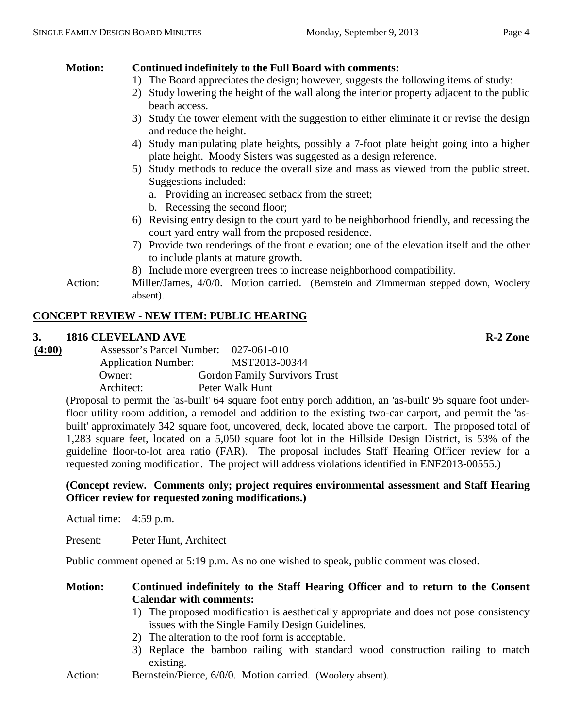# **Motion: Continued indefinitely to the Full Board with comments:**

- 1) The Board appreciates the design; however, suggests the following items of study:
- 2) Study lowering the height of the wall along the interior property adjacent to the public beach access.
- 3) Study the tower element with the suggestion to either eliminate it or revise the design and reduce the height.
- 4) Study manipulating plate heights, possibly a 7-foot plate height going into a higher plate height. Moody Sisters was suggested as a design reference.
- 5) Study methods to reduce the overall size and mass as viewed from the public street. Suggestions included:
	- a. Providing an increased setback from the street;
	- b. Recessing the second floor;
- 6) Revising entry design to the court yard to be neighborhood friendly, and recessing the court yard entry wall from the proposed residence.
- 7) Provide two renderings of the front elevation; one of the elevation itself and the other to include plants at mature growth.
- 8) Include more evergreen trees to increase neighborhood compatibility.
- Action: Miller/James, 4/0/0. Motion carried. (Bernstein and Zimmerman stepped down, Woolery absent).

# **CONCEPT REVIEW - NEW ITEM: PUBLIC HEARING**

# **3. 1816 CLEVELAND AVE R-2 Zone**

**(4:00)** Assessor's Parcel Number: 027-061-010 Application Number: MST2013-00344 Owner: Gordon Family Survivors Trust Architect: Peter Walk Hunt

> (Proposal to permit the 'as-built' 64 square foot entry porch addition, an 'as-built' 95 square foot underfloor utility room addition, a remodel and addition to the existing two-car carport, and permit the 'asbuilt' approximately 342 square foot, uncovered, deck, located above the carport. The proposed total of 1,283 square feet, located on a 5,050 square foot lot in the Hillside Design District, is 53% of the guideline floor-to-lot area ratio (FAR). The proposal includes Staff Hearing Officer review for a requested zoning modification. The project will address violations identified in ENF2013-00555.)

# **(Concept review. Comments only; project requires environmental assessment and Staff Hearing Officer review for requested zoning modifications.)**

Actual time: 4:59 p.m.

Present: Peter Hunt, Architect

Public comment opened at 5:19 p.m. As no one wished to speak, public comment was closed.

# **Motion: Continued indefinitely to the Staff Hearing Officer and to return to the Consent Calendar with comments:**

- 1) The proposed modification is aesthetically appropriate and does not pose consistency issues with the Single Family Design Guidelines.
- 2) The alteration to the roof form is acceptable.
- 3) Replace the bamboo railing with standard wood construction railing to match existing.
- Action: Bernstein/Pierce, 6/0/0. Motion carried. (Woolery absent).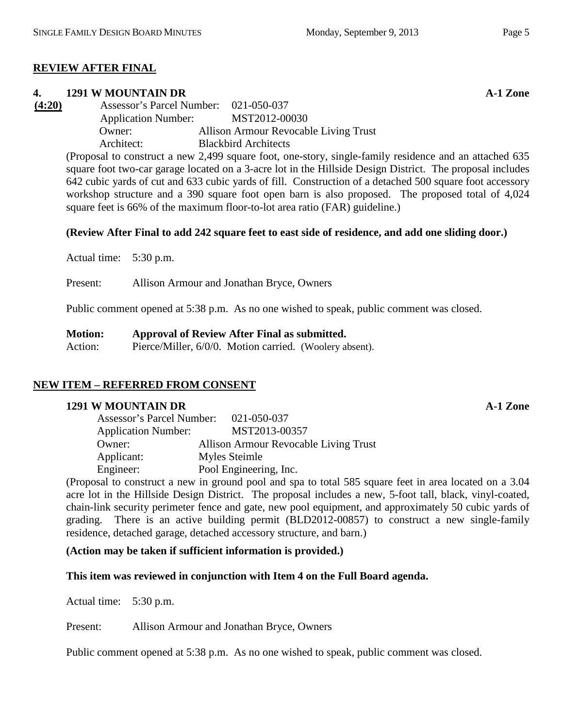# **REVIEW AFTER FINAL**

#### **4. 1291 W MOUNTAIN DR A-1 Zone**

**(4:20)** Assessor's Parcel Number: 021-050-037 Application Number: MST2012-00030 Owner: Allison Armour Revocable Living Trust Architect: Blackbird Architects

(Proposal to construct a new 2,499 square foot, one-story, single-family residence and an attached 635 square foot two-car garage located on a 3-acre lot in the Hillside Design District. The proposal includes 642 cubic yards of cut and 633 cubic yards of fill. Construction of a detached 500 square foot accessory workshop structure and a 390 square foot open barn is also proposed. The proposed total of 4,024 square feet is 66% of the maximum floor-to-lot area ratio (FAR) guideline.)

#### **(Review After Final to add 242 square feet to east side of residence, and add one sliding door.)**

Actual time: 5:30 p.m.

Present: Allison Armour and Jonathan Bryce, Owners

Public comment opened at 5:38 p.m. As no one wished to speak, public comment was closed.

**Motion: Approval of Review After Final as submitted.**  Action: Pierce/Miller, 6/0/0. Motion carried. (Woolery absent).

# **NEW ITEM – REFERRED FROM CONSENT**

#### **1291 W MOUNTAIN DR A-1 Zone**

| Assessor's Parcel Number:  | 021-050-037                           |
|----------------------------|---------------------------------------|
| <b>Application Number:</b> | MST2013-00357                         |
| Owner:                     | Allison Armour Revocable Living Trust |
| Applicant:                 | Myles Steimle                         |
| Engineer:                  | Pool Engineering, Inc.                |

(Proposal to construct a new in ground pool and spa to total 585 square feet in area located on a 3.04 acre lot in the Hillside Design District. The proposal includes a new, 5-foot tall, black, vinyl-coated, chain-link security perimeter fence and gate, new pool equipment, and approximately 50 cubic yards of grading. There is an active building permit (BLD2012-00857) to construct a new single-family residence, detached garage, detached accessory structure, and barn.)

#### **(Action may be taken if sufficient information is provided.)**

# **This item was reviewed in conjunction with Item 4 on the Full Board agenda.**

Actual time: 5:30 p.m.

Present: Allison Armour and Jonathan Bryce, Owners

Public comment opened at 5:38 p.m. As no one wished to speak, public comment was closed.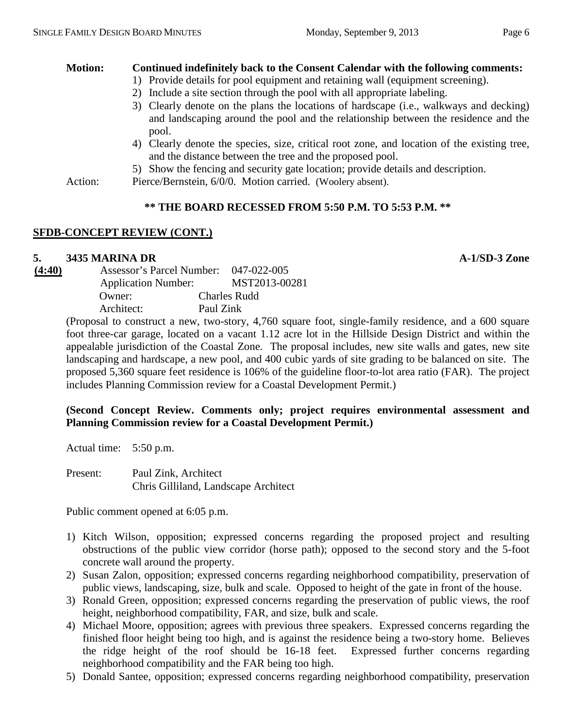# **Motion: Continued indefinitely back to the Consent Calendar with the following comments:**

- 1) Provide details for pool equipment and retaining wall (equipment screening).
	- 2) Include a site section through the pool with all appropriate labeling.
	- 3) Clearly denote on the plans the locations of hardscape (i.e., walkways and decking) and landscaping around the pool and the relationship between the residence and the pool.
	- 4) Clearly denote the species, size, critical root zone, and location of the existing tree, and the distance between the tree and the proposed pool.
	- 5) Show the fencing and security gate location; provide details and description.

Action: Pierce/Bernstein, 6/0/0. Motion carried. (Woolery absent).

# **\*\* THE BOARD RECESSED FROM 5:50 P.M. TO 5:53 P.M. \*\***

#### **SFDB-CONCEPT REVIEW (CONT.)**

# **5. 3435 MARINA DR A-1/SD-3 Zone**

**(4:40)** Assessor's Parcel Number: 047-022-005 Application Number: MST2013-00281 Owner: Charles Rudd Architect: Paul Zink

(Proposal to construct a new, two-story, 4,760 square foot, single-family residence, and a 600 square foot three-car garage, located on a vacant 1.12 acre lot in the Hillside Design District and within the appealable jurisdiction of the Coastal Zone. The proposal includes, new site walls and gates, new site landscaping and hardscape, a new pool, and 400 cubic yards of site grading to be balanced on site. The proposed 5,360 square feet residence is 106% of the guideline floor-to-lot area ratio (FAR). The project includes Planning Commission review for a Coastal Development Permit.)

# **(Second Concept Review. Comments only; project requires environmental assessment and Planning Commission review for a Coastal Development Permit.)**

Actual time: 5:50 p.m.

Present: Paul Zink, Architect Chris Gilliland, Landscape Architect

Public comment opened at 6:05 p.m.

- 1) Kitch Wilson, opposition; expressed concerns regarding the proposed project and resulting obstructions of the public view corridor (horse path); opposed to the second story and the 5-foot concrete wall around the property.
- 2) Susan Zalon, opposition; expressed concerns regarding neighborhood compatibility, preservation of public views, landscaping, size, bulk and scale. Opposed to height of the gate in front of the house.
- 3) Ronald Green, opposition; expressed concerns regarding the preservation of public views, the roof height, neighborhood compatibility, FAR, and size, bulk and scale.
- 4) Michael Moore, opposition; agrees with previous three speakers. Expressed concerns regarding the finished floor height being too high, and is against the residence being a two-story home. Believes the ridge height of the roof should be 16-18 feet. Expressed further concerns regarding neighborhood compatibility and the FAR being too high.
- 5) Donald Santee, opposition; expressed concerns regarding neighborhood compatibility, preservation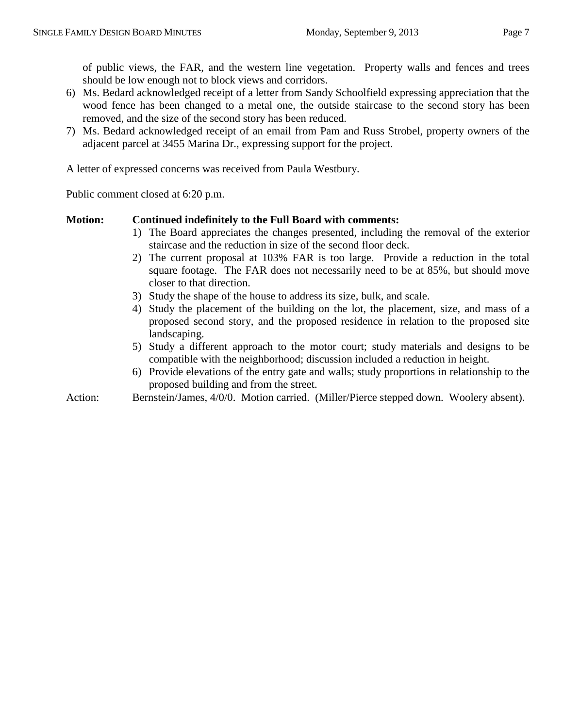of public views, the FAR, and the western line vegetation. Property walls and fences and trees should be low enough not to block views and corridors.

- 6) Ms. Bedard acknowledged receipt of a letter from Sandy Schoolfield expressing appreciation that the wood fence has been changed to a metal one, the outside staircase to the second story has been removed, and the size of the second story has been reduced.
- 7) Ms. Bedard acknowledged receipt of an email from Pam and Russ Strobel, property owners of the adjacent parcel at 3455 Marina Dr., expressing support for the project.

A letter of expressed concerns was received from Paula Westbury.

Public comment closed at 6:20 p.m.

# **Motion: Continued indefinitely to the Full Board with comments:**

- 1) The Board appreciates the changes presented, including the removal of the exterior staircase and the reduction in size of the second floor deck.
- 2) The current proposal at 103% FAR is too large. Provide a reduction in the total square footage. The FAR does not necessarily need to be at 85%, but should move closer to that direction.
- 3) Study the shape of the house to address its size, bulk, and scale.
- 4) Study the placement of the building on the lot, the placement, size, and mass of a proposed second story, and the proposed residence in relation to the proposed site landscaping.
- 5) Study a different approach to the motor court; study materials and designs to be compatible with the neighborhood; discussion included a reduction in height.
- 6) Provide elevations of the entry gate and walls; study proportions in relationship to the proposed building and from the street.
- Action: Bernstein/James, 4/0/0. Motion carried. (Miller/Pierce stepped down. Woolery absent).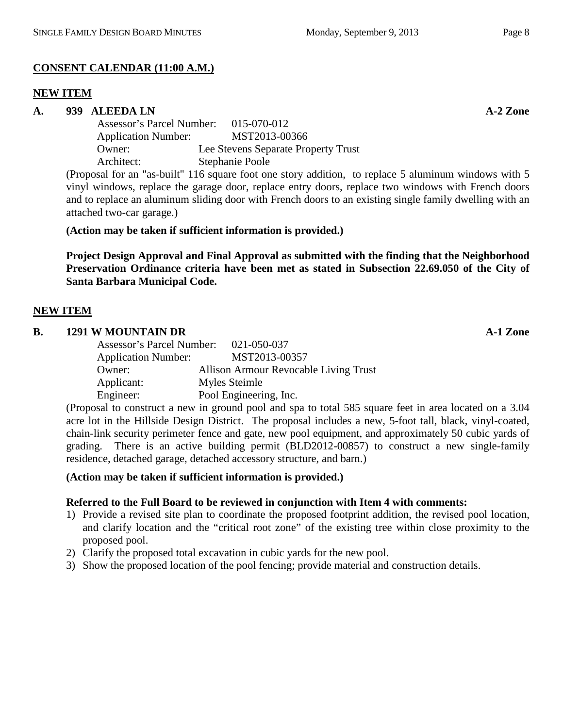# **CONSENT CALENDAR (11:00 A.M.)**

#### **NEW ITEM**

#### **A. 939 ALEEDA LN A-2 Zone**

Assessor's Parcel Number: 015-070-012 Application Number: MST2013-00366 Owner: Lee Stevens Separate Property Trust Architect: Stephanie Poole

(Proposal for an "as-built" 116 square foot one story addition, to replace 5 aluminum windows with 5 vinyl windows, replace the garage door, replace entry doors, replace two windows with French doors and to replace an aluminum sliding door with French doors to an existing single family dwelling with an attached two-car garage.)

# **(Action may be taken if sufficient information is provided.)**

**Project Design Approval and Final Approval as submitted with the finding that the Neighborhood Preservation Ordinance criteria have been met as stated in Subsection 22.69.050 of the City of Santa Barbara Municipal Code.**

# **NEW ITEM**

#### **B. 1291 W MOUNTAIN DR A-1 Zone** Assessor's Parcel Number: 021-050-037 Application Number: MST2013-00357 Owner: Allison Armour Revocable Living Trust Applicant: Myles Steimle Engineer: Pool Engineering, Inc.

(Proposal to construct a new in ground pool and spa to total 585 square feet in area located on a 3.04 acre lot in the Hillside Design District. The proposal includes a new, 5-foot tall, black, vinyl-coated, chain-link security perimeter fence and gate, new pool equipment, and approximately 50 cubic yards of grading. There is an active building permit (BLD2012-00857) to construct a new single-family residence, detached garage, detached accessory structure, and barn.)

# **(Action may be taken if sufficient information is provided.)**

# **Referred to the Full Board to be reviewed in conjunction with Item 4 with comments:**

- 1) Provide a revised site plan to coordinate the proposed footprint addition, the revised pool location, and clarify location and the "critical root zone" of the existing tree within close proximity to the proposed pool.
- 2) Clarify the proposed total excavation in cubic yards for the new pool.
- 3) Show the proposed location of the pool fencing; provide material and construction details.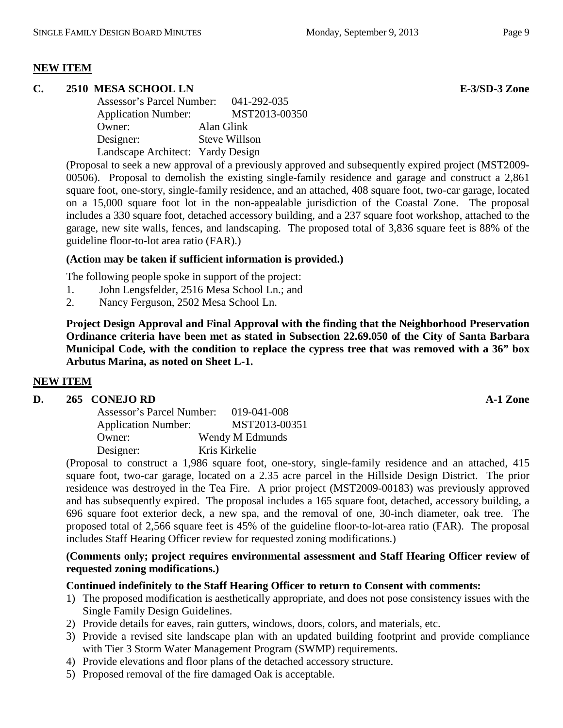# **NEW ITEM**

# **C. 2510 MESA SCHOOL LN E-3/SD-3 Zone**

| Assessor's Parcel Number:         | 041-292-035          |
|-----------------------------------|----------------------|
| <b>Application Number:</b>        | MST2013-00350        |
| Owner:                            | Alan Glink           |
| Designer:                         | <b>Steve Willson</b> |
| Landscape Architect: Yardy Design |                      |

(Proposal to seek a new approval of a previously approved and subsequently expired project (MST2009- 00506). Proposal to demolish the existing single-family residence and garage and construct a 2,861 square foot, one-story, single-family residence, and an attached, 408 square foot, two-car garage, located on a 15,000 square foot lot in the non-appealable jurisdiction of the Coastal Zone. The proposal includes a 330 square foot, detached accessory building, and a 237 square foot workshop, attached to the garage, new site walls, fences, and landscaping. The proposed total of 3,836 square feet is 88% of the guideline floor-to-lot area ratio (FAR).)

# **(Action may be taken if sufficient information is provided.)**

The following people spoke in support of the project:

- 1. John Lengsfelder, 2516 Mesa School Ln.; and
- 2. Nancy Ferguson, 2502 Mesa School Ln.

**Project Design Approval and Final Approval with the finding that the Neighborhood Preservation Ordinance criteria have been met as stated in Subsection 22.69.050 of the City of Santa Barbara Municipal Code, with the condition to replace the cypress tree that was removed with a 36" box Arbutus Marina, as noted on Sheet L-1.**

#### **NEW ITEM**

#### **D. 265 CONEJO RD A-1 Zone**

| Assessor's Parcel Number:  | 019-041-008     |
|----------------------------|-----------------|
| <b>Application Number:</b> | MST2013-00351   |
| Owner:                     | Wendy M Edmunds |
| Designer:                  | Kris Kirkelie   |

(Proposal to construct a 1,986 square foot, one-story, single-family residence and an attached, 415 square foot, two-car garage, located on a 2.35 acre parcel in the Hillside Design District. The prior residence was destroyed in the Tea Fire. A prior project (MST2009-00183) was previously approved and has subsequently expired. The proposal includes a 165 square foot, detached, accessory building, a 696 square foot exterior deck, a new spa, and the removal of one, 30-inch diameter, oak tree. The proposed total of 2,566 square feet is 45% of the guideline floor-to-lot-area ratio (FAR). The proposal includes Staff Hearing Officer review for requested zoning modifications.)

# **(Comments only; project requires environmental assessment and Staff Hearing Officer review of requested zoning modifications.)**

#### **Continued indefinitely to the Staff Hearing Officer to return to Consent with comments:**

- 1) The proposed modification is aesthetically appropriate, and does not pose consistency issues with the Single Family Design Guidelines.
- 2) Provide details for eaves, rain gutters, windows, doors, colors, and materials, etc.
- 3) Provide a revised site landscape plan with an updated building footprint and provide compliance with Tier 3 Storm Water Management Program (SWMP) requirements.
- 4) Provide elevations and floor plans of the detached accessory structure.
- 5) Proposed removal of the fire damaged Oak is acceptable.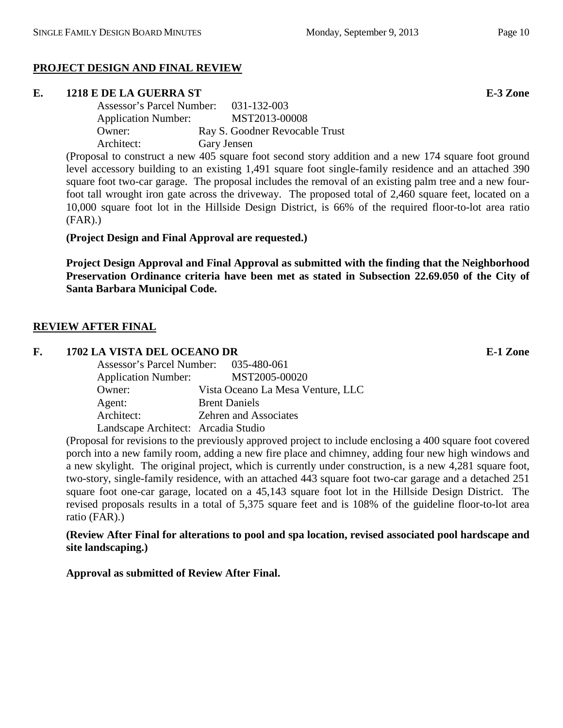# **PROJECT DESIGN AND FINAL REVIEW**

#### **E. 1218 E DE LA GUERRA ST E-3 Zone**

Assessor's Parcel Number: 031-132-003 Application Number: MST2013-00008 Owner: Ray S. Goodner Revocable Trust Architect: Gary Jensen

(Proposal to construct a new 405 square foot second story addition and a new 174 square foot ground level accessory building to an existing 1,491 square foot single-family residence and an attached 390 square foot two-car garage. The proposal includes the removal of an existing palm tree and a new fourfoot tall wrought iron gate across the driveway. The proposed total of 2,460 square feet, located on a 10,000 square foot lot in the Hillside Design District, is 66% of the required floor-to-lot area ratio (FAR).)

**(Project Design and Final Approval are requested.)**

**Project Design Approval and Final Approval as submitted with the finding that the Neighborhood Preservation Ordinance criteria have been met as stated in Subsection 22.69.050 of the City of Santa Barbara Municipal Code.**

# **REVIEW AFTER FINAL**

#### **F. 1702 LA VISTA DEL OCEANO DR E-1 Zone**

| Assessor's Parcel Number: 035-480-061 |                                   |
|---------------------------------------|-----------------------------------|
| <b>Application Number:</b>            | MST2005-00020                     |
| Owner:                                | Vista Oceano La Mesa Venture, LLC |
| Agent:                                | <b>Brent Daniels</b>              |
| Architect:                            | <b>Zehren and Associates</b>      |
| Landscape Architect: Arcadia Studio   |                                   |

(Proposal for revisions to the previously approved project to include enclosing a 400 square foot covered porch into a new family room, adding a new fire place and chimney, adding four new high windows and a new skylight. The original project, which is currently under construction, is a new 4,281 square foot, two-story, single-family residence, with an attached 443 square foot two-car garage and a detached 251 square foot one-car garage, located on a 45,143 square foot lot in the Hillside Design District. The revised proposals results in a total of 5,375 square feet and is 108% of the guideline floor-to-lot area ratio (FAR).)

**(Review After Final for alterations to pool and spa location, revised associated pool hardscape and site landscaping.)**

**Approval as submitted of Review After Final.**